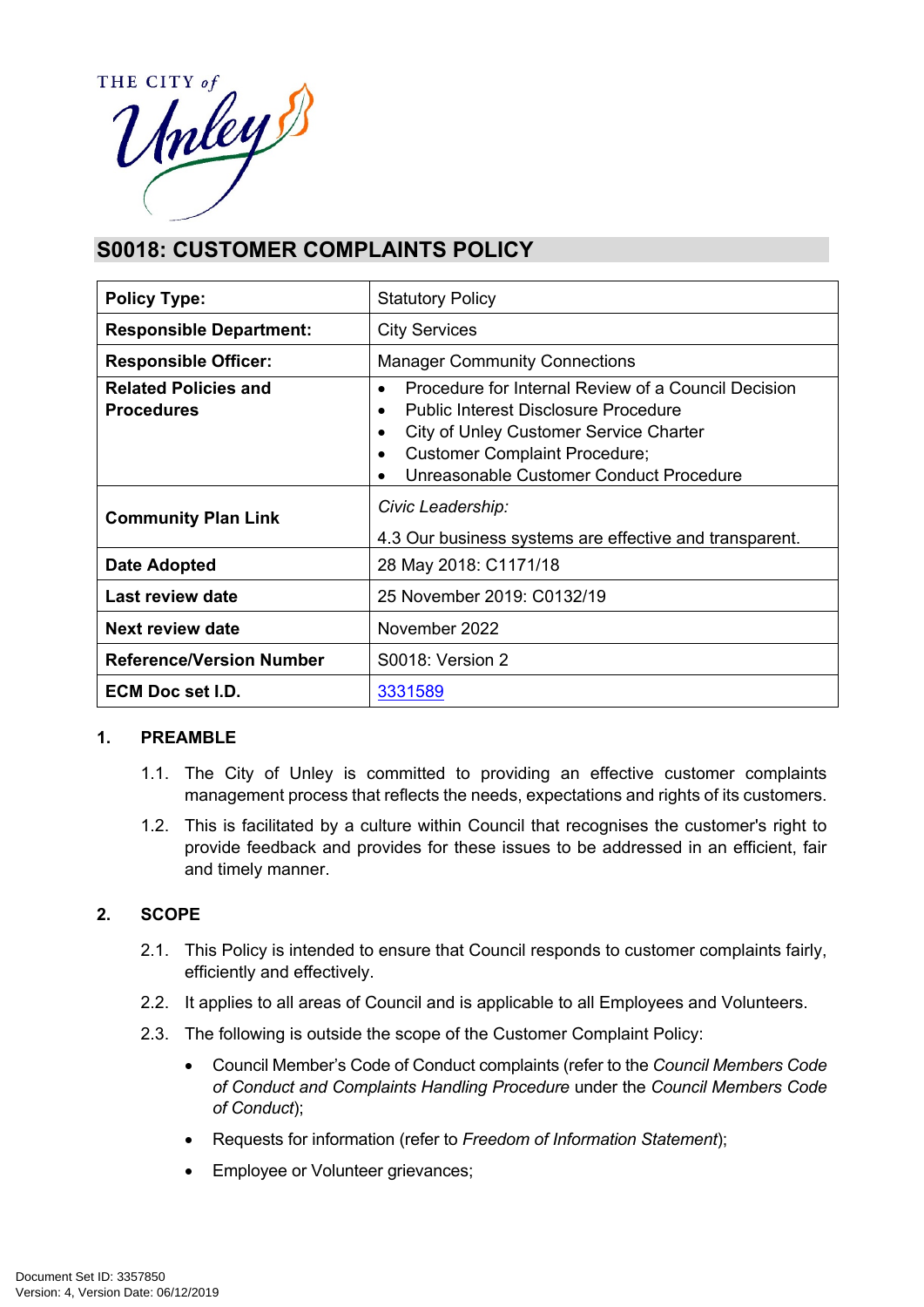

# **S0018: CUSTOMER COMPLAINTS POLICY**

| <b>Policy Type:</b>                              | <b>Statutory Policy</b>                                                                                                                                                                                                                                                             |  |
|--------------------------------------------------|-------------------------------------------------------------------------------------------------------------------------------------------------------------------------------------------------------------------------------------------------------------------------------------|--|
| <b>Responsible Department:</b>                   | <b>City Services</b>                                                                                                                                                                                                                                                                |  |
| <b>Responsible Officer:</b>                      | <b>Manager Community Connections</b>                                                                                                                                                                                                                                                |  |
| <b>Related Policies and</b><br><b>Procedures</b> | Procedure for Internal Review of a Council Decision<br>$\bullet$<br><b>Public Interest Disclosure Procedure</b><br>$\bullet$<br>City of Unley Customer Service Charter<br>$\bullet$<br><b>Customer Complaint Procedure;</b><br>Unreasonable Customer Conduct Procedure<br>$\bullet$ |  |
| <b>Community Plan Link</b>                       | Civic Leadership:<br>4.3 Our business systems are effective and transparent.                                                                                                                                                                                                        |  |
| Date Adopted                                     | 28 May 2018: C1171/18                                                                                                                                                                                                                                                               |  |
| Last review date                                 | 25 November 2019: C0132/19                                                                                                                                                                                                                                                          |  |
| Next review date                                 | November 2022                                                                                                                                                                                                                                                                       |  |
| <b>Reference/Version Number</b>                  | S0018: Version 2                                                                                                                                                                                                                                                                    |  |
| ECM Doc set I.D.                                 | 3331589                                                                                                                                                                                                                                                                             |  |

# **1. PREAMBLE**

- 1.1. The City of Unley is committed to providing an effective customer complaints management process that reflects the needs, expectations and rights of its customers.
- 1.2. This is facilitated by a culture within Council that recognises the customer's right to provide feedback and provides for these issues to be addressed in an efficient, fair and timely manner.

# **2. SCOPE**

- 2.1. This Policy is intended to ensure that Council responds to customer complaints fairly, efficiently and effectively.
- 2.2. It applies to all areas of Council and is applicable to all Employees and Volunteers.
- 2.3. The following is outside the scope of the Customer Complaint Policy:
	- Council Member's Code of Conduct complaints (refer to the *Council Members Code of Conduct and Complaints Handling Procedure* under the *Council Members Code of Conduct*);
	- Requests for information (refer to *Freedom of Information Statement*);
	- Employee or Volunteer grievances;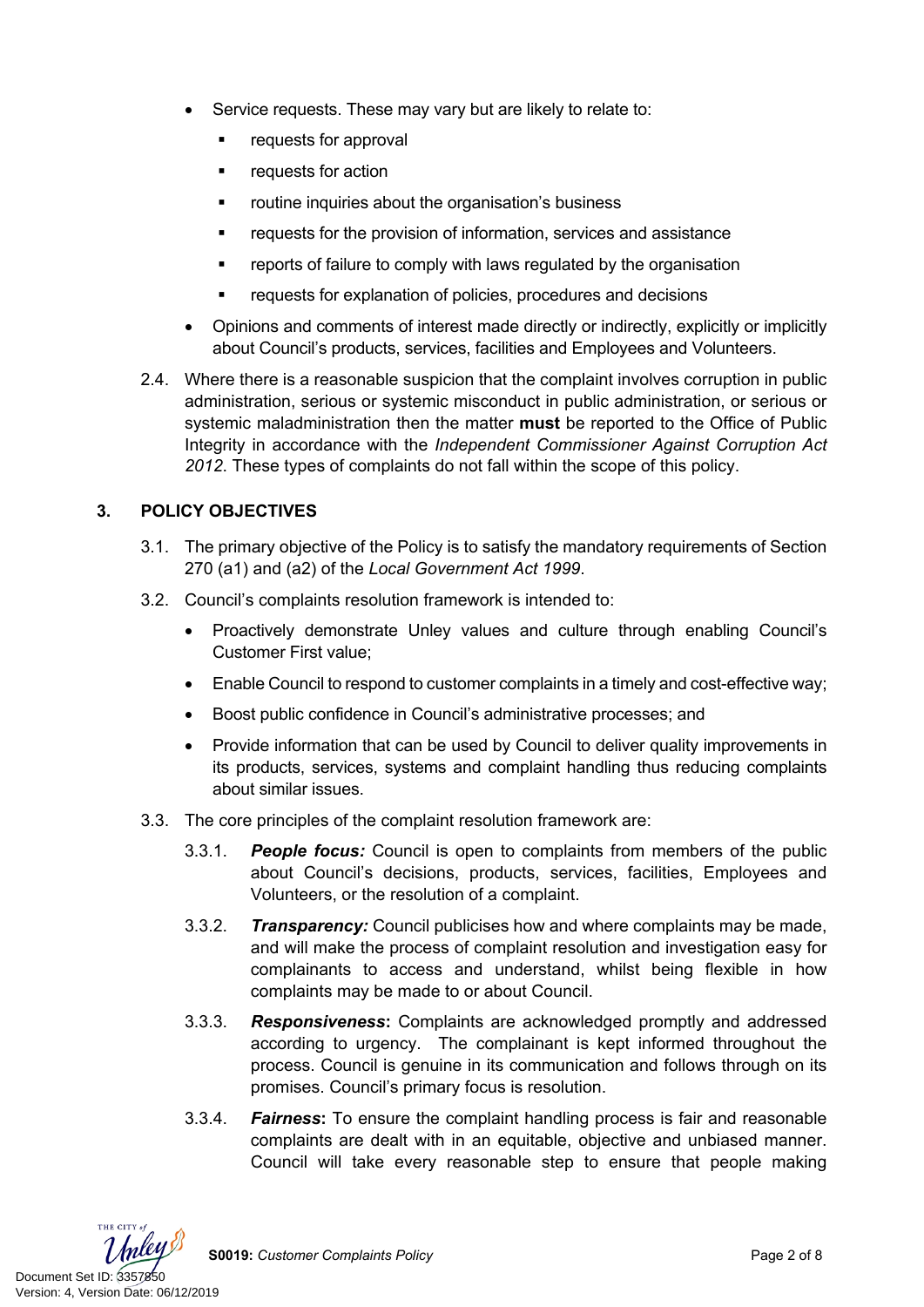- Service requests. These may vary but are likely to relate to:
	- requests for approval
	- **•** requests for action
	- **F** routine inquiries about the organisation's business
	- requests for the provision of information, services and assistance
	- **•** reports of failure to comply with laws regulated by the organisation
	- requests for explanation of policies, procedures and decisions
- Opinions and comments of interest made directly or indirectly, explicitly or implicitly about Council's products, services, facilities and Employees and Volunteers.
- 2.4. Where there is a reasonable suspicion that the complaint involves corruption in public administration, serious or systemic misconduct in public administration, or serious or systemic maladministration then the matter **must** be reported to the Office of Public Integrity in accordance with the *Independent Commissioner Against Corruption Act 2012*. These types of complaints do not fall within the scope of this policy.

# **3. POLICY OBJECTIVES**

- 3.1. The primary objective of the Policy is to satisfy the mandatory requirements of Section 270 (a1) and (a2) of the *Local Government Act 1999*.
- 3.2. Council's complaints resolution framework is intended to:
	- Proactively demonstrate Unley values and culture through enabling Council's Customer First value;
	- Enable Council to respond to customer complaints in a timely and cost-effective way;
	- Boost public confidence in Council's administrative processes; and
	- Provide information that can be used by Council to deliver quality improvements in its products, services, systems and complaint handling thus reducing complaints about similar issues.
- 3.3. The core principles of the complaint resolution framework are:
	- 3.3.1. *People focus:* Council is open to complaints from members of the public about Council's decisions, products, services, facilities, Employees and Volunteers, or the resolution of a complaint.
	- 3.3.2. *Transparency:* Council publicises how and where complaints may be made, and will make the process of complaint resolution and investigation easy for complainants to access and understand, whilst being flexible in how complaints may be made to or about Council.
	- 3.3.3. *Responsiveness***:** Complaints are acknowledged promptly and addressed according to urgency. The complainant is kept informed throughout the process. Council is genuine in its communication and follows through on its promises. Council's primary focus is resolution.
	- 3.3.4. *Fairness***:** To ensure the complaint handling process is fair and reasonable complaints are dealt with in an equitable, objective and unbiased manner. Council will take every reasonable step to ensure that people making

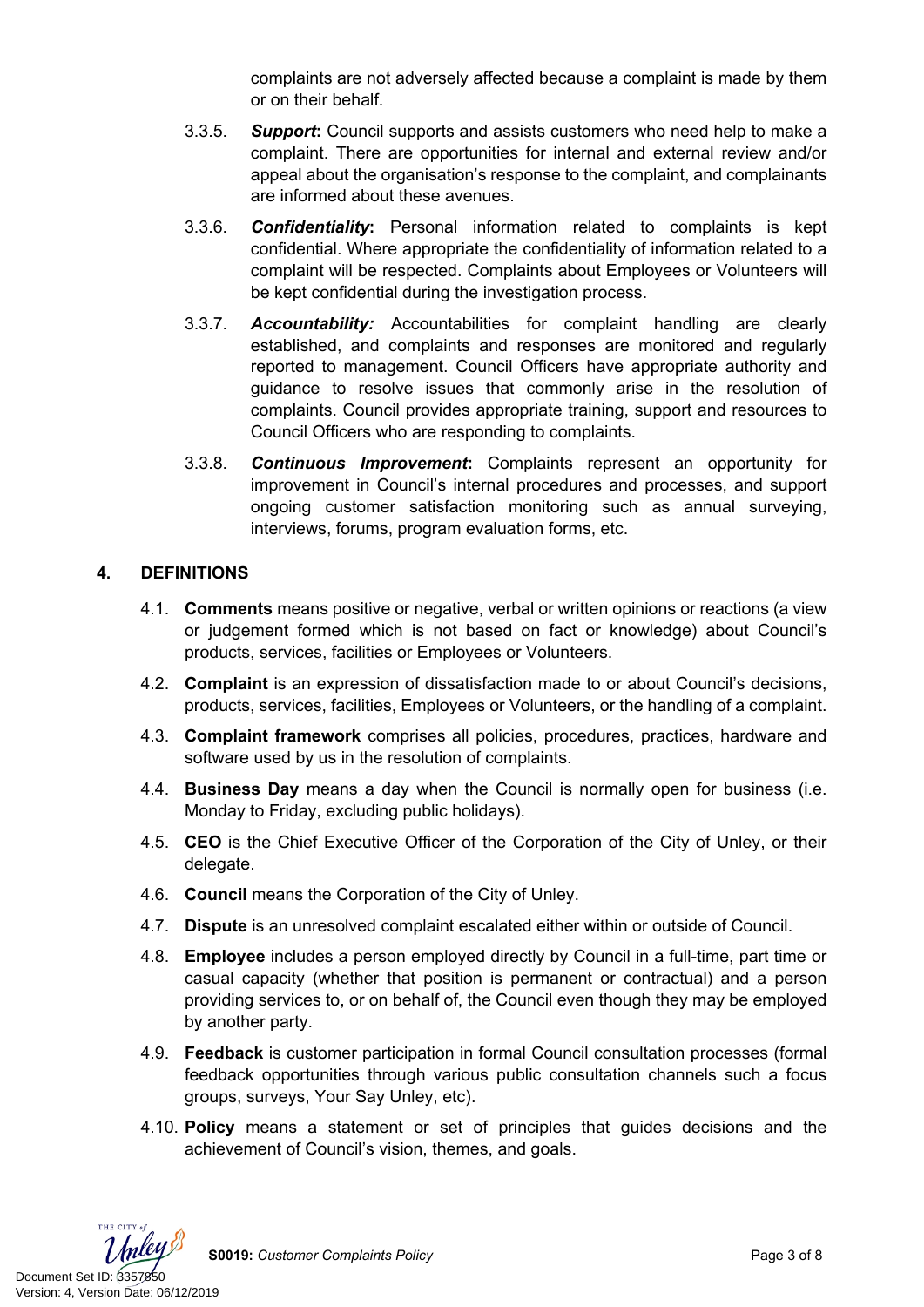complaints are not adversely affected because a complaint is made by them or on their behalf.

- 3.3.5. *Support***:** Council supports and assists customers who need help to make a complaint. There are opportunities for internal and external review and/or appeal about the organisation's response to the complaint, and complainants are informed about these avenues.
- 3.3.6. *Confidentiality***:** Personal information related to complaints is kept confidential. Where appropriate the confidentiality of information related to a complaint will be respected. Complaints about Employees or Volunteers will be kept confidential during the investigation process.
- 3.3.7. *Accountability:* Accountabilities for complaint handling are clearly established, and complaints and responses are monitored and regularly reported to management. Council Officers have appropriate authority and guidance to resolve issues that commonly arise in the resolution of complaints. Council provides appropriate training, support and resources to Council Officers who are responding to complaints.
- 3.3.8. *Continuous Improvement***:** Complaints represent an opportunity for improvement in Council's internal procedures and processes, and support ongoing customer satisfaction monitoring such as annual surveying, interviews, forums, program evaluation forms, etc.

# **4. DEFINITIONS**

- 4.1. **Comments** means positive or negative, verbal or written opinions or reactions (a view or judgement formed which is not based on fact or knowledge) about Council's products, services, facilities or Employees or Volunteers.
- 4.2. **Complaint** is an expression of dissatisfaction made to or about Council's decisions, products, services, facilities, Employees or Volunteers, or the handling of a complaint.
- 4.3. **Complaint framework** comprises all policies, procedures, practices, hardware and software used by us in the resolution of complaints.
- 4.4. **Business Day** means a day when the Council is normally open for business (i.e. Monday to Friday, excluding public holidays).
- 4.5. **CEO** is the Chief Executive Officer of the Corporation of the City of Unley, or their delegate.
- 4.6. **Council** means the Corporation of the City of Unley.
- 4.7. **Dispute** is an unresolved complaint escalated either within or outside of Council.
- 4.8. **Employee** includes a person employed directly by Council in a full-time, part time or casual capacity (whether that position is permanent or contractual) and a person providing services to, or on behalf of, the Council even though they may be employed by another party.
- 4.9. **Feedback** is customer participation in formal Council consultation processes (formal feedback opportunities through various public consultation channels such a focus groups, surveys, Your Say Unley, etc).
- 4.10. **Policy** means a statement or set of principles that guides decisions and the achievement of Council's vision, themes, and goals.



**S0019:** *Customer Complaints Policy* Page 3 of 8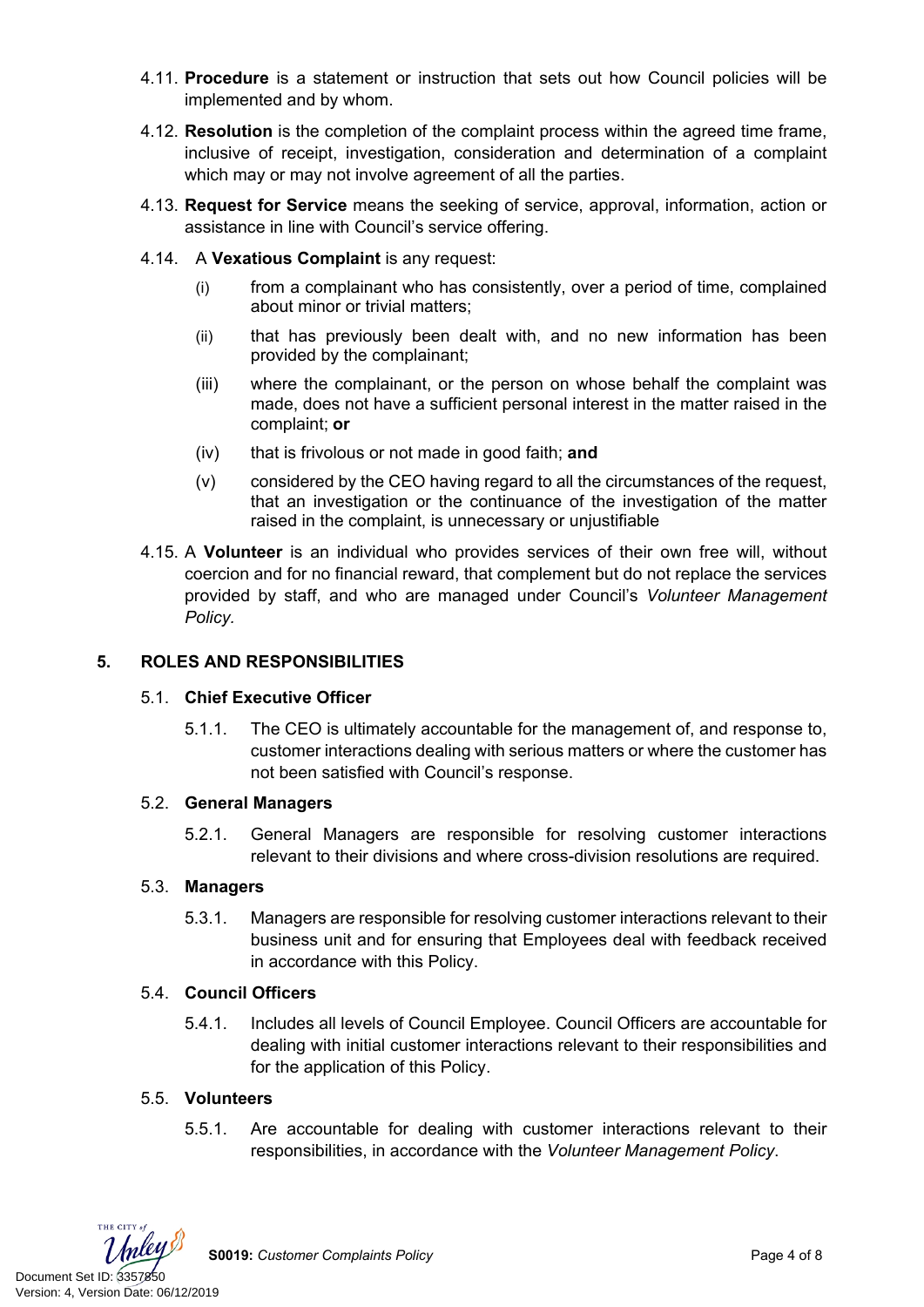- 4.11. **Procedure** is a statement or instruction that sets out how Council policies will be implemented and by whom.
- 4.12. **Resolution** is the completion of the complaint process within the agreed time frame, inclusive of receipt, investigation, consideration and determination of a complaint which may or may not involve agreement of all the parties.
- 4.13. **Request for Service** means the seeking of service, approval, information, action or assistance in line with Council's service offering.
- 4.14. A **Vexatious Complaint** is any request:
	- (i) from a complainant who has consistently, over a period of time, complained about minor or trivial matters;
	- (ii) that has previously been dealt with, and no new information has been provided by the complainant;
	- (iii) where the complainant, or the person on whose behalf the complaint was made, does not have a sufficient personal interest in the matter raised in the complaint; **or**
	- (iv) that is frivolous or not made in good faith; **and**
	- (v) considered by the CEO having regard to all the circumstances of the request, that an investigation or the continuance of the investigation of the matter raised in the complaint, is unnecessary or unjustifiable
- 4.15. A **Volunteer** is an individual who provides services of their own free will, without coercion and for no financial reward, that complement but do not replace the services provided by staff, and who are managed under Council's *Volunteer Management Policy.*

# **5. ROLES AND RESPONSIBILITIES**

## 5.1. **Chief Executive Officer**

5.1.1. The CEO is ultimately accountable for the management of, and response to, customer interactions dealing with serious matters or where the customer has not been satisfied with Council's response.

## 5.2. **General Managers**

5.2.1. General Managers are responsible for resolving customer interactions relevant to their divisions and where cross-division resolutions are required.

## 5.3. **Managers**

5.3.1. Managers are responsible for resolving customer interactions relevant to their business unit and for ensuring that Employees deal with feedback received in accordance with this Policy.

## 5.4. **Council Officers**

5.4.1. Includes all levels of Council Employee. Council Officers are accountable for dealing with initial customer interactions relevant to their responsibilities and for the application of this Policy.

# 5.5. **Volunteers**

5.5.1. Are accountable for dealing with customer interactions relevant to their responsibilities, in accordance with the *Volunteer Management Policy*.



**S0019:** *Customer Complaints Policy* Page 4 of 8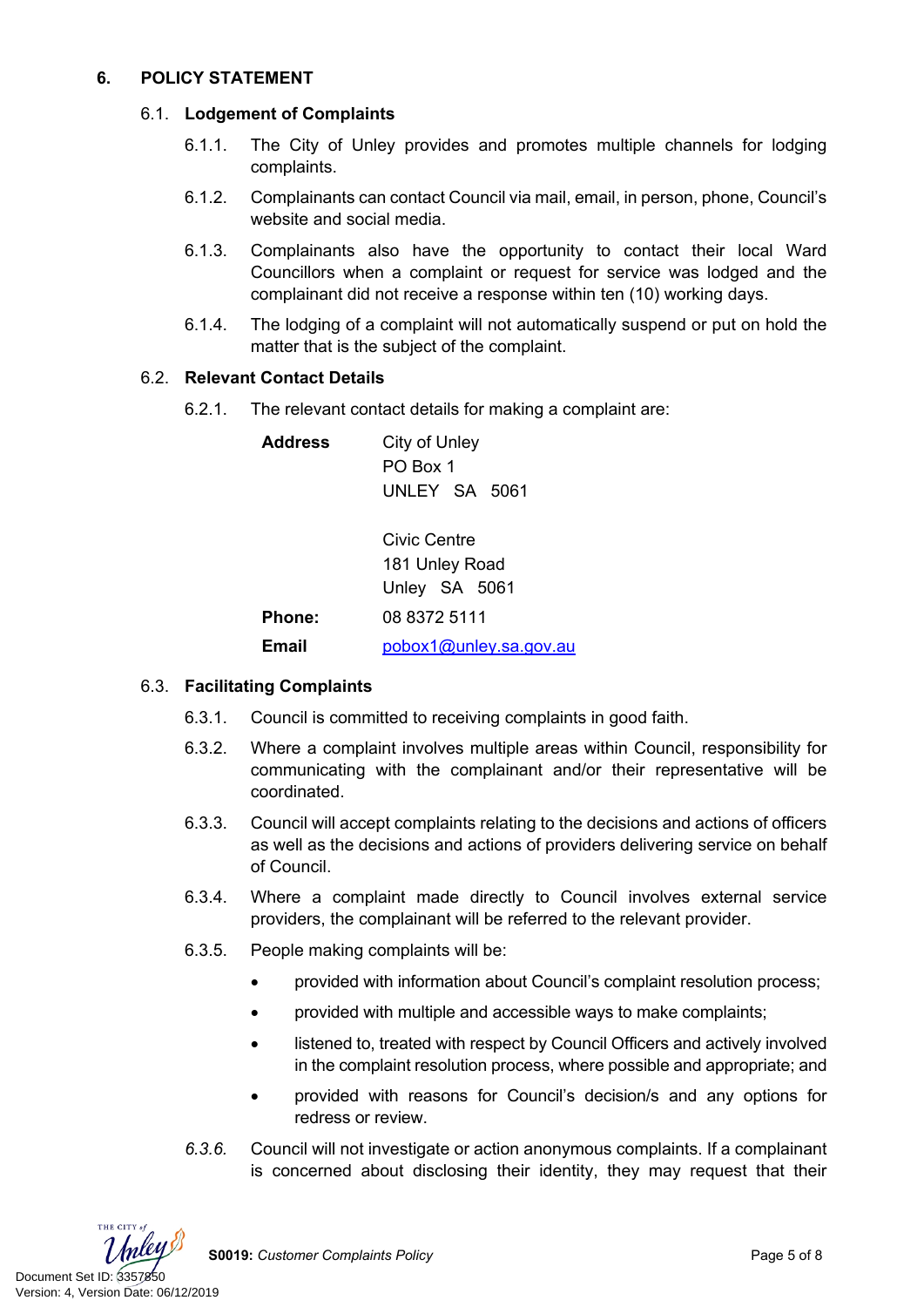# **6. POLICY STATEMENT**

## 6.1. **Lodgement of Complaints**

- 6.1.1. The City of Unley provides and promotes multiple channels for lodging complaints.
- 6.1.2. Complainants can contact Council via mail, email, in person, phone, Council's website and social media.
- 6.1.3. Complainants also have the opportunity to contact their local Ward Councillors when a complaint or request for service was lodged and the complainant did not receive a response within ten (10) working days.
- 6.1.4. The lodging of a complaint will not automatically suspend or put on hold the matter that is the subject of the complaint.

## 6.2. **Relevant Contact Details**

6.2.1. The relevant contact details for making a complaint are:

**Address** City of Unley PO Box 1 UNLEY SA 5061

Civic Centre 181 Unley Road Unley SA 5061 **Phone:** 08 8372 5111 **Email** [pobox1@unley.sa.gov.au](mailto:pobox1@unley.sa.gov.au)

# 6.3. **Facilitating Complaints**

- 6.3.1. Council is committed to receiving complaints in good faith.
- 6.3.2. Where a complaint involves multiple areas within Council, responsibility for communicating with the complainant and/or their representative will be coordinated.
- 6.3.3. Council will accept complaints relating to the decisions and actions of officers as well as the decisions and actions of providers delivering service on behalf of Council.
- 6.3.4. Where a complaint made directly to Council involves external service providers, the complainant will be referred to the relevant provider.
- 6.3.5. People making complaints will be:
	- provided with information about Council's complaint resolution process;
	- provided with multiple and accessible ways to make complaints;
	- listened to, treated with respect by Council Officers and actively involved in the complaint resolution process, where possible and appropriate; and
	- provided with reasons for Council's decision/s and any options for redress or review.
- *6.3.6.* Council will not investigate or action anonymous complaints. If a complainant is concerned about disclosing their identity, they may request that their

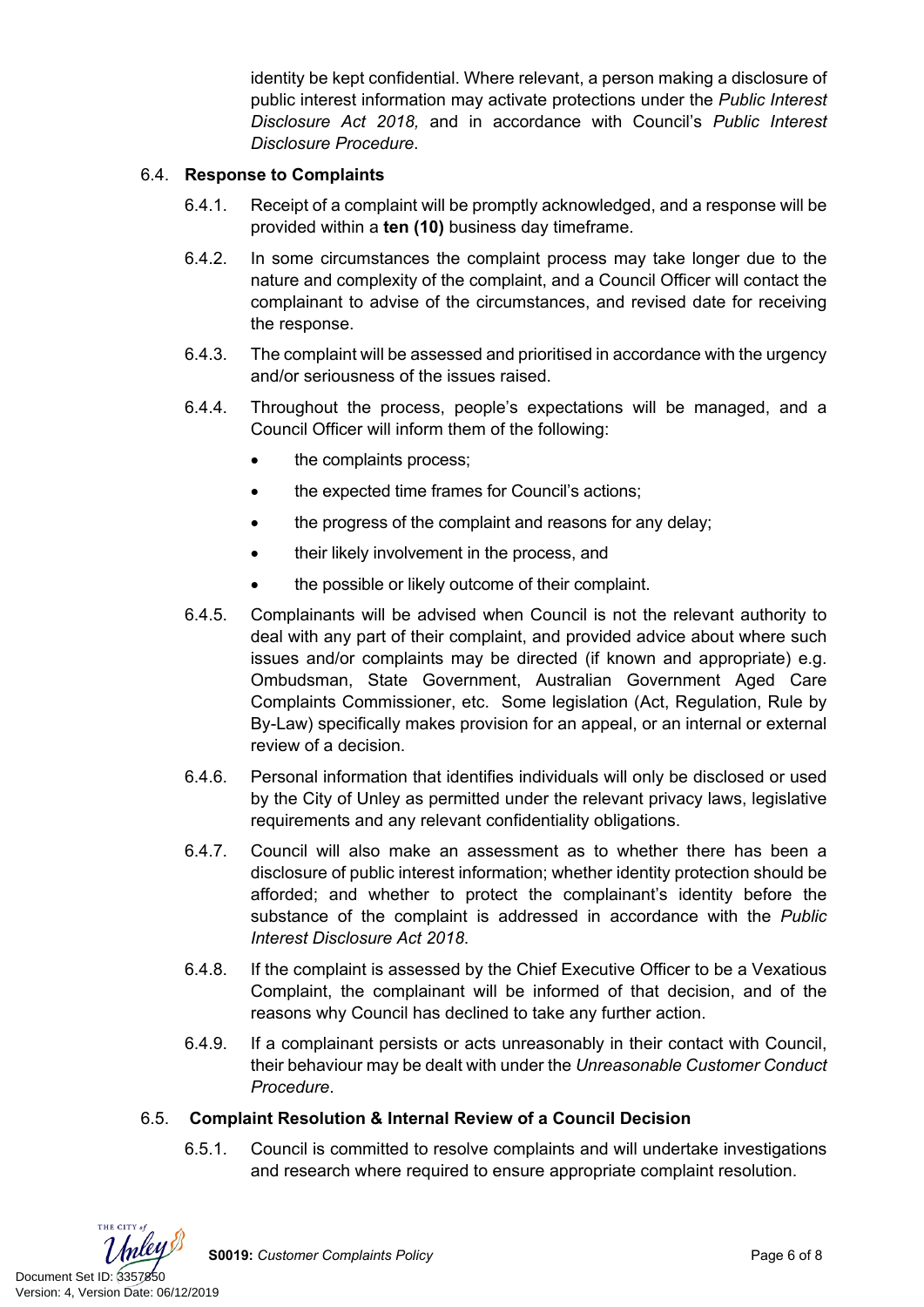identity be kept confidential. Where relevant, a person making a disclosure of public interest information may activate protections under the *Public Interest Disclosure Act 2018,* and in accordance with Council's *Public Interest Disclosure Procedure*.

## 6.4. **Response to Complaints**

- 6.4.1. Receipt of a complaint will be promptly acknowledged, and a response will be provided within a **ten (10)** business day timeframe.
- 6.4.2. In some circumstances the complaint process may take longer due to the nature and complexity of the complaint, and a Council Officer will contact the complainant to advise of the circumstances, and revised date for receiving the response.
- 6.4.3. The complaint will be assessed and prioritised in accordance with the urgency and/or seriousness of the issues raised.
- 6.4.4. Throughout the process, people's expectations will be managed, and a Council Officer will inform them of the following:
	- the complaints process;
	- the expected time frames for Council's actions;
	- the progress of the complaint and reasons for any delay;
	- their likely involvement in the process, and
	- the possible or likely outcome of their complaint.
- 6.4.5. Complainants will be advised when Council is not the relevant authority to deal with any part of their complaint, and provided advice about where such issues and/or complaints may be directed (if known and appropriate) e.g. Ombudsman, State Government, Australian Government Aged Care Complaints Commissioner, etc. Some legislation (Act, Regulation, Rule by By-Law) specifically makes provision for an appeal, or an internal or external review of a decision.
- 6.4.6. Personal information that identifies individuals will only be disclosed or used by the City of Unley as permitted under the relevant privacy laws, legislative requirements and any relevant confidentiality obligations.
- 6.4.7. Council will also make an assessment as to whether there has been a disclosure of public interest information; whether identity protection should be afforded; and whether to protect the complainant's identity before the substance of the complaint is addressed in accordance with the *Public Interest Disclosure Act 2018*.
- 6.4.8. If the complaint is assessed by the Chief Executive Officer to be a Vexatious Complaint, the complainant will be informed of that decision, and of the reasons why Council has declined to take any further action.
- 6.4.9. If a complainant persists or acts unreasonably in their contact with Council, their behaviour may be dealt with under the *Unreasonable Customer Conduct Procedure*.

## 6.5. **Complaint Resolution & Internal Review of a Council Decision**

6.5.1. Council is committed to resolve complaints and will undertake investigations and research where required to ensure appropriate complaint resolution.



**S0019:** *Customer Complaints Policy* Page 6 of 8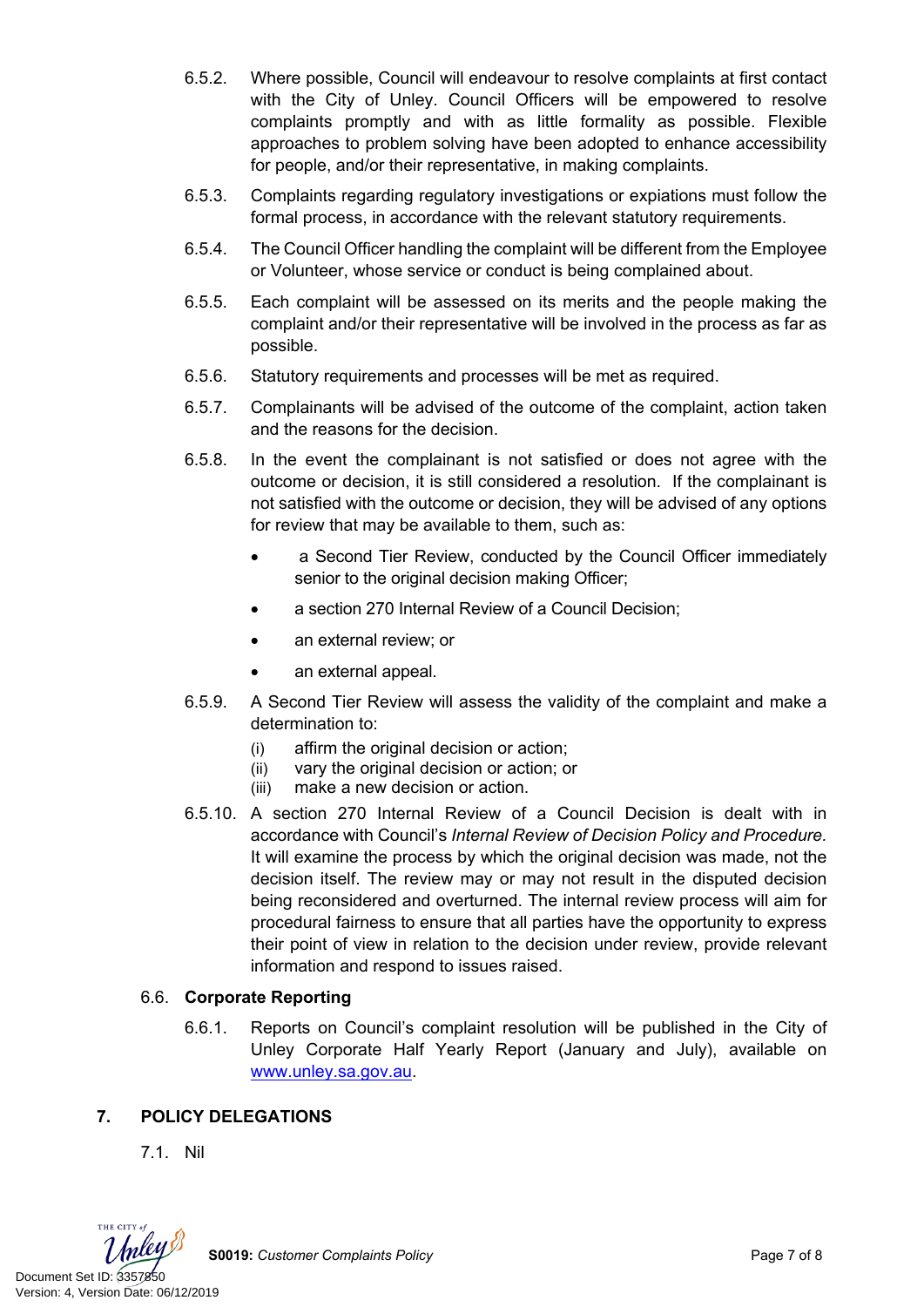- 6.5.2. Where possible, Council will endeavour to resolve complaints at first contact with the City of Unley. Council Officers will be empowered to resolve complaints promptly and with as little formality as possible. Flexible approaches to problem solving have been adopted to enhance accessibility for people, and/or their representative, in making complaints.
- 6.5.3. Complaints regarding regulatory investigations or expiations must follow the formal process, in accordance with the relevant statutory requirements.
- 6.5.4. The Council Officer handling the complaint will be different from the Employee or Volunteer, whose service or conduct is being complained about.
- 6.5.5. Each complaint will be assessed on its merits and the people making the complaint and/or their representative will be involved in the process as far as possible.
- 6.5.6. Statutory requirements and processes will be met as required.
- 6.5.7. Complainants will be advised of the outcome of the complaint, action taken and the reasons for the decision.
- 6.5.8. In the event the complainant is not satisfied or does not agree with the outcome or decision, it is still considered a resolution. If the complainant is not satisfied with the outcome or decision, they will be advised of any options for review that may be available to them, such as:
	- a Second Tier Review, conducted by the Council Officer immediately senior to the original decision making Officer;
	- a section 270 Internal Review of a Council Decision;
	- an external review; or
	- an external appeal.
- 6.5.9. A Second Tier Review will assess the validity of the complaint and make a determination to:
	- (i) affirm the original decision or action;
	- (ii) vary the original decision or action; or
	- (iii) make a new decision or action.
- 6.5.10. A section 270 Internal Review of a Council Decision is dealt with in accordance with Council's *Internal Review of Decision Policy and Procedure.*  It will examine the process by which the original decision was made, not the decision itself. The review may or may not result in the disputed decision being reconsidered and overturned. The internal review process will aim for procedural fairness to ensure that all parties have the opportunity to express their point of view in relation to the decision under review, provide relevant information and respond to issues raised.

# 6.6. **Corporate Reporting**

6.6.1. Reports on Council's complaint resolution will be published in the City of Unley Corporate Half Yearly Report (January and July), available on [www.unley.sa.gov.au.](file:///C:/Users/tnorman/AppData/Local/Microsoft/Windows/INetCache/Content.Outlook/YZPTQSXQ/www.unley.sa.gov.au)

# **7. POLICY DELEGATIONS**

7.1. Nil